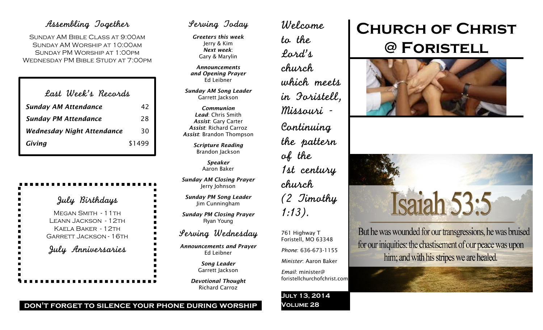## Assembling Together

Sunday AM Bible Class at 9:00am Sunday AM Worship at 10:00am Sunday PM Worship at 1:00pm Wednesday PM Bible Study at 7:00pm

| Last Week's Records |
|---------------------|
| 42                  |
| 28                  |
| 30                  |
| \$1499              |
|                     |

## July Birthdays

MEGAN SMITH - 11TH Leann Jackson - 12th Kaela Baker - 12th Garrett Jackson - 16th July Anniversaries

## Serving Today

*Greeters this week* Jerry & Kim *Next week*: Gary & Marylin

*Announcements and Opening Prayer* Ed Leibner

*Sunday AM Song Leader* Garrett Jackson

*Communion Lead*: Chris Smith *Assist*: Gary Carter *Assist*: Richard Carroz *Assist*: Brandon Thompson

> *Scripture Reading* Brandon Jackson

> > *Speaker* Aaron Baker

*Sunday AM Closing Prayer* Jerry Johnson

*Sunday PM Song Leader* Jim Cunningham

*Sunday PM Closing Prayer* Ryan Young

## Serving Wednesday

*Announcements and Prayer* Ed Leibner

> *Song Leader* Garrett Jackson

*Devotional Thought* Richard Carroz

Welcome to the Lord's church which meets in Foristell, Missouri - Continuing the pattern of the 1st century church (2 Timothy 1:13).

761 Highway T Foristell, MO 63348

*Phone*: 636-673-1155

*Minister*: Aaron Baker

*Email*: minister@ foristellchurchofchrist.com

#### **July 13, 2014 Volume 28**

# **Church of Christ @ Foristell**





But he was wounded for our transgressions, he was bruised for our iniquities: the chastisement of our peace was upon him; and with his stripes we are healed.

**don't forget to silence your phone during worship**